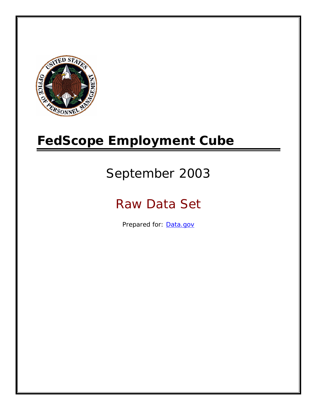

# **FedScope Employment Cube**

# September 2003

# Raw Data Set

Prepared for: [Data.gov](http://www.data.gov/)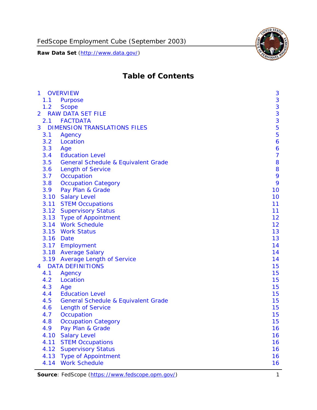

# **Table of Contents**

| $\mathbf{1}$ | <b>OVERVIEW</b>                                | 3              |
|--------------|------------------------------------------------|----------------|
| 1.1          | Purpose                                        | 3              |
| 1.2          | <b>Scope</b>                                   | 3              |
| 2            | <b>RAW DATA SET FILE</b>                       | 3              |
| 2.1          | <b>FACTDATA</b>                                | 3              |
| 3            | <b>DIMENSION TRANSLATIONS FILES</b>            | 5              |
| 3.1          | Agency                                         | 5              |
| 3.2          | Location                                       | 6              |
| 3.3          | Age                                            | 6              |
| 3.4          | <b>Education Level</b>                         | $\overline{7}$ |
| 3.5          | <b>General Schedule &amp; Equivalent Grade</b> | 8              |
| 3.6          | <b>Length of Service</b>                       | 8              |
| 3.7          | Occupation                                     | 9              |
| 3.8          | <b>Occupation Category</b>                     | 9              |
| 3.9          | Pay Plan & Grade                               | 10             |
| 3.10         | <b>Salary Level</b>                            | 10             |
|              | 3.11 STEM Occupations                          | 11             |
|              | 3.12 Supervisory Status                        | 11             |
|              | 3.13 Type of Appointment                       | 12             |
|              | 3.14 Work Schedule                             | 12             |
| 3.15         | <b>Work Status</b>                             | 13             |
|              | 3.16 Date                                      | 13             |
|              | 3.17 Employment                                | 14             |
|              | 3.18 Average Salary                            | 14             |
|              | 3.19 Average Length of Service                 | 14             |
| 4            | <b>DATA DEFINITIONS</b>                        | 15             |
| 4.1          | Agency                                         | 15             |
| 4.2          | Location                                       | 15             |
| 4.3          | Age                                            | 15             |
| 4.4          | <b>Education Level</b>                         | 15             |
| 4.5          | <b>General Schedule &amp; Equivalent Grade</b> | 15             |
| 4.6          | <b>Length of Service</b>                       | 15             |
| 4.7          | Occupation                                     | 15             |
| 4.8          | <b>Occupation Category</b>                     | 15             |
| 4.9          | Pay Plan & Grade                               | 16             |
| 4.10         | <b>Salary Level</b>                            | 16             |
| 4.11         | <b>STEM Occupations</b>                        | 16             |
| 4.12         | <b>Supervisory Status</b>                      | 16             |
| 4.13         | <b>Type of Appointment</b>                     | 16             |
| 4.14         | <b>Work Schedule</b>                           | 16             |

Source: FedScope (https://www.fedscope.opm.gov/) 1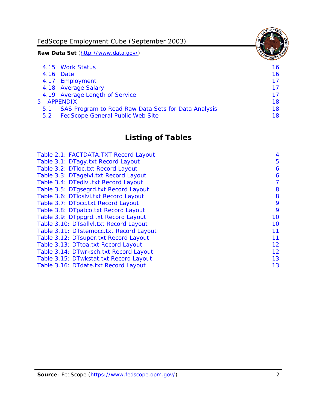FedScope Employment Cube (September 2003)

**Raw Data Set** (http://www.data.gov/)

|               | 4.15 Work Status                                    | 16 |
|---------------|-----------------------------------------------------|----|
|               | 4.16 Date                                           | 16 |
|               | 4.17 Employment                                     | 17 |
|               | 4.18 Average Salary                                 | 17 |
|               | 4.19 Average Length of Service                      | 17 |
|               | 5 APPENDIX                                          | 18 |
| 5.1           | SAS Program to Read Raw Data Sets for Data Analysis | 18 |
| $5.2^{\circ}$ | <b>FedScope General Public Web Site</b>             | 18 |

# **Listing of Tables**

| Table 2.1: FACTDATA.TXT Record Layout   | 4              |
|-----------------------------------------|----------------|
| Table 3.1: DTagy.txt Record Layout      | 5              |
| Table 3.2: DTloc.txt Record Layout      | 6              |
| Table 3.3: DTagelvl.txt Record Layout   | 6              |
| Table 3.4: DTedlvl.txt Record Layout    | $\overline{7}$ |
| Table 3.5: DTgsegrd.txt Record Layout   | 8              |
| Table 3.6: DTIoslyl.txt Record Layout   | 8              |
| Table 3.7: DTocc.txt Record Layout      | 9              |
| Table 3.8: DTpatco.txt Record Layout    | 9              |
| Table 3.9: DTppgrd.txt Record Layout    | 10             |
| Table 3.10: DTsallvl.txt Record Layout  | 10             |
| Table 3.11: DTstemocc.txt Record Layout | 11             |
| Table 3.12: DTsuper.txt Record Layout   | 11             |
| Table 3.13: DTtoa.txt Record Layout     | 12             |
| Table 3.14: DTwrksch.txt Record Layout  | 12             |
| Table 3.15: DTwkstat.txt Record Layout  | 13             |
| Table 3.16: DTdate.txt Record Layout    | 13             |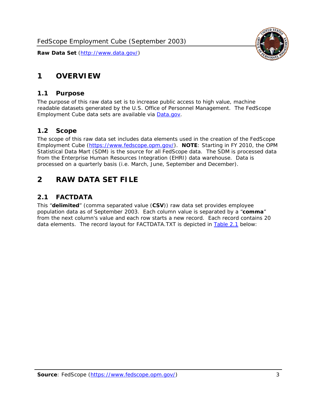# <span id="page-3-0"></span>**1 OVERVIEW**

### *1.1 Purpose*

<span id="page-3-1"></span>The purpose of this raw data set is to increase public access to high value, machine readable datasets generated by the U.S. Office of Personnel Management. The FedScope Employment Cube data sets are available via [Data.gov](http://www.data.gov/).

# <span id="page-3-2"></span>*1.2 Scope*

The scope of this raw data set includes data elements used in the creation of the FedScope Employment Cube [\(https://www.fedscope.opm.gov/\)](https://www.fedscope.opm.gov/). **NOTE**: Starting in FY 2010, the OPM Statistical Data Mart (SDM) is the source for all FedScope data. The SDM is processed data from the Enterprise Human Resources Integration (EHRI) data warehouse. Data is processed on a quarterly basis (i.e. March, June, September and December).

# <span id="page-3-3"></span>**2 RAW DATA SET FILE**

# <span id="page-3-4"></span>*2.1 FACTDATA*

This "**delimited**" (comma separated value (**CSV**)) raw data set provides employee population data as of September 2003. Each column value is separated by a "**comma**" from the next column's value and each row starts a new record. Each record contains 20 data elements. The record layout for FACTDATA.TXT is depicted in [Table 2.1](#page-4-1) below:

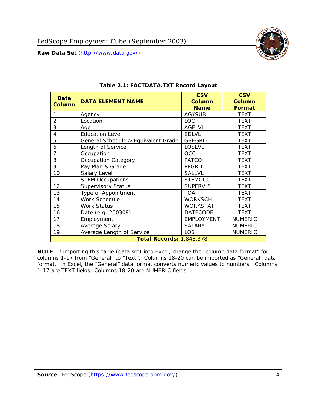<span id="page-4-1"></span><span id="page-4-0"></span>

**NOTE**: If importing this table (data set) into Excel, change the "column data format" for columns 1-17 from "General" to "Text". Columns 18-20 can be imported as "General" data format. In Excel, the "General" data format converts numeric values to numbers. Columns 1-17 are TEXT fields; Columns 18-20 are NUMERIC fields.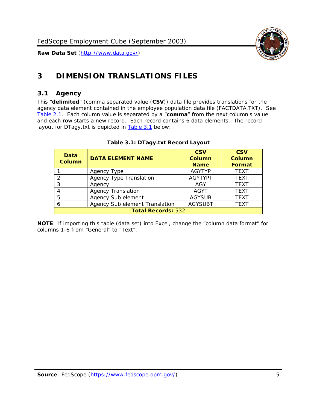

# <span id="page-5-0"></span>**3 DIMENSION TRANSLATIONS FILES**

#### <span id="page-5-1"></span>*3.1 Agency*

<span id="page-5-3"></span><span id="page-5-2"></span>This "**delimited**" (comma separated value (**CSV**)) data file provides translations for the agency data element contained in the employee population data file (FACTDATA.TXT). See [Table 2.1.](#page-4-1) Each column value is separated by a "**comma**" from the next column's value and each row starts a new record. Each record contains 6 data elements. The record layout for DTagy.txt is depicted in [Table 3.1](#page-5-3) below:

| Data<br>Column            | <b>DATA ELEMENT NAME</b>       | <b>CSV</b><br><b>Column</b><br><b>Name</b> | <b>CSV</b><br>Column<br><b>Format</b> |
|---------------------------|--------------------------------|--------------------------------------------|---------------------------------------|
|                           | Agency Type                    | <b>AGYTYP</b>                              | <b>TEXT</b>                           |
|                           | <b>Agency Type Translation</b> | <b>AGYTYPT</b>                             | <b>TEXT</b>                           |
| 3                         | Agency                         | AGY                                        | <b>TEXT</b>                           |
|                           | <b>Agency Translation</b>      | AGYT                                       | <b>TEXT</b>                           |
| -5                        | Agency Sub element             | <b>AGYSUB</b>                              | <b>TEXT</b>                           |
|                           | Agency Sub element Translation | <b>AGYSUBT</b>                             | <b>TEXT</b>                           |
| <b>Total Records: 532</b> |                                |                                            |                                       |

#### **Table 3.1: DTagy.txt Record Layout**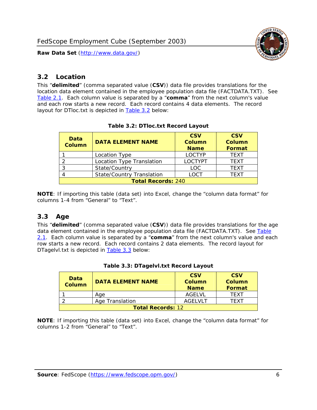

### <span id="page-6-0"></span>*3.2 Location*

<span id="page-6-4"></span><span id="page-6-2"></span>This "**delimited**" (comma separated value (**CSV**)) data file provides translations for the location data element contained in the employee population data file (FACTDATA.TXT). See [Table 2.1.](#page-4-1) Each column value is separated by a "**comma**" from the next column's value and each row starts a new record. Each record contains 4 data elements. The record layout for DTloc.txt is depicted in [Table 3.2](#page-6-4) below:

| Data<br><b>Column</b>     | <b>DATA ELEMENT NAME</b>         | <b>CSV</b><br>Column<br><b>Name</b> | <b>CSV</b><br><b>Column</b><br><b>Format</b> |
|---------------------------|----------------------------------|-------------------------------------|----------------------------------------------|
|                           | Location Type                    | <b>LOCTYP</b>                       | <b>TEXT</b>                                  |
|                           | Location Type Translation        | <b>LOCTYPT</b>                      | <b>TEXT</b>                                  |
| ⌒                         | State/Country                    | <b>LOC</b>                          | <b>TFXT</b>                                  |
|                           | <b>State/Country Translation</b> | LOCT                                | <b>TFXT</b>                                  |
| <b>Total Records: 240</b> |                                  |                                     |                                              |

#### **Table 3.2: DTloc.txt Record Layout**

**NOTE**: If importing this table (data set) into Excel, change the "column data format" for columns 1-4 from "General" to "Text".

#### <span id="page-6-1"></span>*3.3 Age*

<span id="page-6-5"></span><span id="page-6-3"></span>This "**delimited**" (comma separated value (**CSV**)) data file provides translations for the age data element contained in the employee population data file (FACTDATA.TXT). See [Table](#page-4-1) [2.1](#page-4-1). Each column value is separated by a "**comma**" from the next column's value and each row starts a new record. Each record contains 2 data elements. The record layout for DTagelvl.txt is depicted in **[Table 3.3](#page-6-5)** below:

| Data<br><b>Column</b>    | <b>DATA ELEMENT NAME</b> | <b>CSV</b><br>Column<br><b>Name</b> | <b>CSV</b><br>Column<br>Format |
|--------------------------|--------------------------|-------------------------------------|--------------------------------|
|                          | Aae                      | AGFI VI                             | TFXT                           |
|                          | Age Translation          | AGFI VI T                           | TFXT                           |
| <b>Total Records: 12</b> |                          |                                     |                                |

#### **Table 3.3: DTagelvl.txt Record Layout**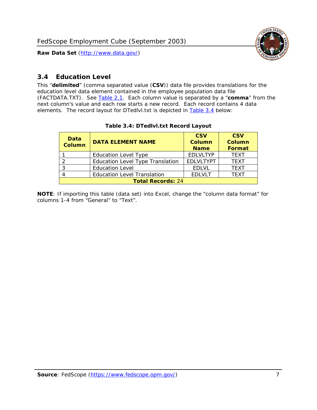

## <span id="page-7-0"></span>*3.4 Education Level*

<span id="page-7-2"></span><span id="page-7-1"></span>This "**delimited**" (comma separated value (**CSV**)) data file provides translations for the education level data element contained in the employee population data file (FACTDATA.TXT). See [Table 2.1](#page-4-1). Each column value is separated by a "**comma**" from the next column's value and each row starts a new record. Each record contains 4 data elements. The record layout for DTedlvl.txt is depicted in [Table 3.4](#page-7-2) below:

| Data<br><b>Column</b>    | <b>DATA ELEMENT NAME</b>           | <b>CSV</b><br><b>Column</b><br><b>Name</b> | <b>CSV</b><br><b>Column</b><br><b>Format</b> |
|--------------------------|------------------------------------|--------------------------------------------|----------------------------------------------|
|                          | <b>Education Level Type</b>        | <b>EDLVLTYP</b>                            | <b>TEXT</b>                                  |
|                          | Education Level Type Translation   | <b>EDLVLTYPT</b>                           | <b>TEXT</b>                                  |
|                          | <b>Education Level</b>             | <b>EDLVL</b>                               | <b>TEXT</b>                                  |
|                          | <b>Education Level Translation</b> | <b>EDLVLT</b>                              | <b>TEXT</b>                                  |
| <b>Total Records: 24</b> |                                    |                                            |                                              |

#### **Table 3.4: DTedlvl.txt Record Layout**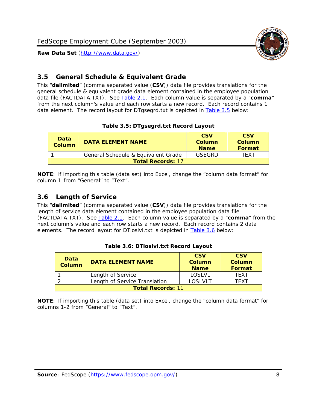



## <span id="page-8-0"></span>*3.5 General Schedule & Equivalent Grade*

This "**delimited**" (comma separated value (**CSV**)) data file provides translations for the general schedule & equivalent grade data element contained in the employee population data file (FACTDATA.TXT). See [Table 2.1](#page-4-1). Each column value is separated by a "**comma**" from the next column's value and each row starts a new record. Each record contains 1 data element. The record layout for DTgsegrd.txt is depicted in [Table 3.5](#page-8-4) below:

#### **Table 3.5: DTgsegrd.txt Record Layout**

<span id="page-8-4"></span><span id="page-8-2"></span>

| Data<br>Column           | DATA FI FMFNT NAMF                  | <b>CSV</b><br>Column<br><b>Name</b> | <b>CSV</b><br>Column<br><b>Format</b> |
|--------------------------|-------------------------------------|-------------------------------------|---------------------------------------|
|                          | General Schedule & Equivalent Grade | GSFGRD                              | TFXT                                  |
| <b>Total Records: 17</b> |                                     |                                     |                                       |

**NOTE**: If importing this table (data set) into Excel, change the "column data format" for column 1-from "General" to "Text".

#### <span id="page-8-1"></span>*3.6 Length of Service*

<span id="page-8-5"></span><span id="page-8-3"></span>This "**delimited**" (comma separated value (**CSV**)) data file provides translations for the length of service data element contained in the employee population data file (FACTDATA.TXT). See [Table 2.1](#page-4-1). Each column value is separated by a "**comma**" from the next column's value and each row starts a new record. Each record contains 2 data elements. The record layout for DTloslvl.txt is depicted in [Table 3.6](#page-8-5) below:

| <b>Data</b><br>Column    | <b>DATA FI FMFNT NAMF</b>     | <b>CSV</b><br>Column<br><b>Name</b> | <b>CSV</b><br>Column<br>Format |
|--------------------------|-------------------------------|-------------------------------------|--------------------------------|
|                          | Length of Service             | LOSLVL                              | TFXT                           |
|                          | Length of Service Translation | LOSI VLT                            | TFXT                           |
| <b>Total Records: 11</b> |                               |                                     |                                |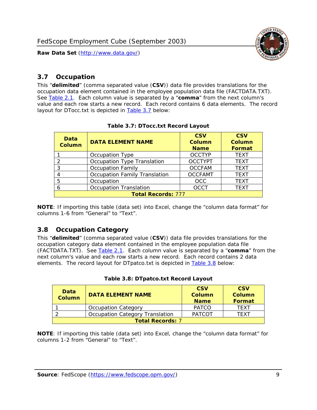

### <span id="page-9-0"></span>*3.7 Occupation*

<span id="page-9-4"></span>This "**delimited**" (comma separated value (**CSV**)) data file provides translations for the occupation data element contained in the employee population data file (FACTDATA.TXT). See [Table 2.1](#page-4-1). Each column value is separated by a "**comma**" from the next column's value and each row starts a new record. Each record contains 6 data elements. The record layout for DTocc.txt is depicted in [Table 3.7](#page-9-4) below:

<span id="page-9-2"></span>

| Data<br><b>Column</b>     | <b>DATA ELEMENT NAME</b>             | <b>CSV</b><br>Column<br><b>Name</b> | <b>CSV</b><br><b>Column</b><br><b>Format</b> |
|---------------------------|--------------------------------------|-------------------------------------|----------------------------------------------|
|                           | Occupation Type                      | <b>OCCTYP</b>                       | <b>TEXT</b>                                  |
|                           | Occupation Type Translation          | <b>OCCTYPT</b>                      | <b>TEXT</b>                                  |
| ာ                         | <b>Occupation Family</b>             | <b>OCCFAM</b>                       | <b>TEXT</b>                                  |
|                           | <b>Occupation Family Translation</b> | <b>OCCFAMT</b>                      | <b>TEXT</b>                                  |
| 5                         | Occupation                           | <b>OCC</b>                          | <b>TEXT</b>                                  |
|                           | <b>Occupation Translation</b>        | <b>OCCT</b>                         | <b>TEXT</b>                                  |
| <b>Total Records: 777</b> |                                      |                                     |                                              |

#### **Table 3.7: DTocc.txt Record Layout**

**NOTE**: If importing this table (data set) into Excel, change the "column data format" for columns 1-6 from "General" to "Text".

#### <span id="page-9-1"></span>*3.8 Occupation Category*

<span id="page-9-5"></span>This "**delimited**" (comma separated value (**CSV**)) data file provides translations for the occupation category data element contained in the employee population data file (FACTDATA.TXT). See [Table 2.1](#page-4-1). Each column value is separated by a "**comma**" from the next column's value and each row starts a new record. Each record contains 2 data elements. The record layout for DTpatco.txt is depicted in [Table 3.8](#page-9-5) below:

<span id="page-9-3"></span>

| Data<br><b>Column</b>   | <b>DATA ELEMENT NAME</b>        | <b>CSV</b><br>Column<br><b>Name</b> | <b>CSV</b><br>Column<br>Format |
|-------------------------|---------------------------------|-------------------------------------|--------------------------------|
|                         | <b>Occupation Category</b>      | <b>PATCO</b>                        | <b>TFXT</b>                    |
|                         | Occupation Category Translation | <b>PATCOT</b>                       | TFXT                           |
| <b>Total Records: 7</b> |                                 |                                     |                                |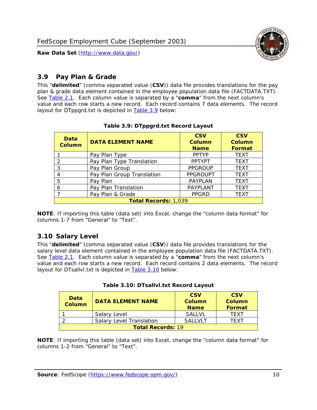

## <span id="page-10-0"></span>*3.9 Pay Plan & Grade*

<span id="page-10-4"></span>This "**delimited**" (comma separated value (**CSV**)) data file provides translations for the pay plan & grade data element contained in the employee population data file (FACTDATA.TXT). See [Table 2.1](#page-4-1). Each column value is separated by a "**comma**" from the next column's value and each row starts a new record. Each record contains 7 data elements. The record layout for DTppgrd.txt is depicted in **Table 3.9** below:

<span id="page-10-2"></span>

| Data<br>Column              | <b>DATA ELEMENT NAME</b>   | <b>CSV</b><br>Column<br><b>Name</b> | <b>CSV</b><br>Column<br><b>Format</b> |
|-----------------------------|----------------------------|-------------------------------------|---------------------------------------|
|                             | Pay Plan Type              | <b>PPTYP</b>                        | <b>TEXT</b>                           |
| $\mathcal{P}$               | Pay Plan Type Translation  | <b>PPTYPT</b>                       | <b>TEXT</b>                           |
| 3                           | Pay Plan Group             | <b>PPGROUP</b>                      | <b>TEXT</b>                           |
|                             | Pay Plan Group Translation | <b>PPGROUPT</b>                     | <b>TEXT</b>                           |
| 5                           | Pay Plan                   | <b>PAYPLAN</b>                      | <b>TEXT</b>                           |
| 6                           | Pay Plan Translation       | PAYPLANT                            | <b>TEXT</b>                           |
|                             | Pay Plan & Grade           | <b>PPGRD</b>                        | <b>TEXT</b>                           |
| <b>Total Records: 1,039</b> |                            |                                     |                                       |

#### **Table 3.9: DTppgrd.txt Record Layout**

**NOTE**: If importing this table (data set) into Excel, change the "column data format" for columns 1-7 from "General" to "Text".

# <span id="page-10-1"></span>*3.10 Salary Level*

<span id="page-10-5"></span><span id="page-10-3"></span>This "**delimited**" (comma separated value (**CSV**)) data file provides translations for the salary level data element contained in the employee population data file (FACTDATA.TXT). See [Table 2.1](#page-4-1). Each column value is separated by a "**comma**" from the next column's value and each row starts a new record. Each record contains 2 data elements. The record layout for DTsallvl.txt is depicted in [Table 3.10](#page-10-5) below:

| <b>Data</b><br><b>Column</b> | <b>DATA ELEMENT NAME</b>        | <b>CSV</b><br>Column<br><b>Name</b> | <b>CSV</b><br>Column<br><b>Format</b> |
|------------------------------|---------------------------------|-------------------------------------|---------------------------------------|
|                              | Salary Level                    | <b>SALLVL</b>                       | TFXT                                  |
|                              | <b>Salary Level Translation</b> | SAI I VI T                          | TEXT                                  |
| <b>Total Records: 19</b>     |                                 |                                     |                                       |

| Table 3.10: DTsallvl.txt Record Layout |  |
|----------------------------------------|--|
|----------------------------------------|--|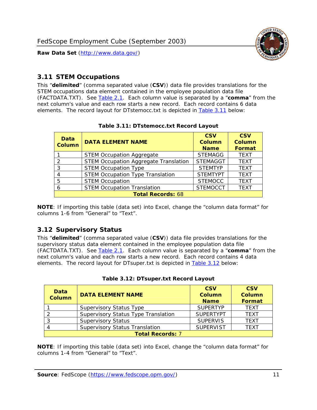

### <span id="page-11-0"></span>*3.11 STEM Occupations*

<span id="page-11-4"></span>This "**delimited**" (comma separated value (**CSV**)) data file provides translations for the STEM occupations data element contained in the employee population data file (FACTDATA.TXT). See [Table 2.1](#page-4-1). Each column value is separated by a "**comma**" from the next column's value and each row starts a new record. Each record contains 6 data elements. The record layout for DTstemocc.txt is depicted in [Table 3.11](#page-11-4) below:

<span id="page-11-2"></span>

| <b>Data</b><br><b>Column</b> | <b>DATA ELEMENT NAME</b>                     | <b>CSV</b><br>Column<br><b>Name</b> | <b>CSV</b><br><b>Column</b><br><b>Format</b> |
|------------------------------|----------------------------------------------|-------------------------------------|----------------------------------------------|
|                              | <b>STEM Occupation Aggregate</b>             | <b>STEMAGG</b>                      | <b>TEXT</b>                                  |
|                              | <b>STEM Occupation Aggregate Translation</b> | <b>STEMAGGT</b>                     | <b>TEXT</b>                                  |
| 3                            | <b>STEM Occupation Type</b>                  | <b>STEMTYP</b>                      | <b>TEXT</b>                                  |
|                              | <b>STEM Occupation Type Translation</b>      | <b>STEMTYPT</b>                     | <b>TEXT</b>                                  |
| 5                            | <b>STEM Occupation</b>                       | <b>STEMOCC</b>                      | <b>TEXT</b>                                  |
|                              | <b>STEM Occupation Translation</b>           | <b>STEMOCCT</b>                     | <b>TEXT</b>                                  |
| <b>Total Records: 68</b>     |                                              |                                     |                                              |

#### **Table 3.11: DTstemocc.txt Record Layout**

**NOTE**: If importing this table (data set) into Excel, change the "column data format" for columns 1-6 from "General" to "Text".

# <span id="page-11-1"></span>*3.12 Supervisory Status*

This "**delimited**" (comma separated value (**CSV**)) data file provides translations for the supervisory status data element contained in the employee population data file (FACTDATA.TXT). See [Table 2.1](#page-4-1). Each column value is separated by a "**comma**" from the next column's value and each row starts a new record. Each record contains 4 data elements. The record layout for DTsuper.txt is depicted in [Table 3.12](#page-11-5) below:

<span id="page-11-5"></span><span id="page-11-3"></span>

| Data<br><b>Column</b>   | <b>DATA ELEMENT NAME</b>              | <b>CSV</b><br>Column<br><b>Name</b> | <b>CSV</b><br><b>Column</b><br>Format |
|-------------------------|---------------------------------------|-------------------------------------|---------------------------------------|
|                         | <b>Supervisory Status Type</b>        | <b>SUPERTYP</b>                     | <b>TEXT</b>                           |
|                         | Supervisory Status Type Translation   | <b>SUPERTYPT</b>                    | <b>TEXT</b>                           |
|                         | <b>Supervisory Status</b>             | <b>SUPERVIS</b>                     | <b>TEXT</b>                           |
|                         | <b>Supervisory Status Translation</b> | <b>SUPERVIST</b>                    | <b>TEXT</b>                           |
| <b>Total Records: 7</b> |                                       |                                     |                                       |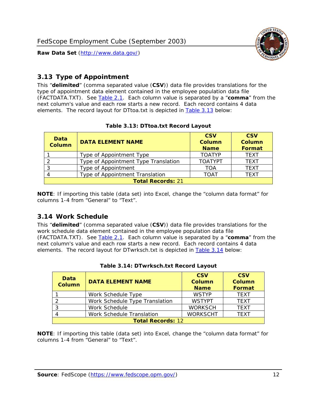

## <span id="page-12-0"></span>*3.13 Type of Appointment*

This "**delimited**" (comma separated value (**CSV**)) data file provides translations for the type of appointment data element contained in the employee population data file (FACTDATA.TXT). See [Table 2.1](#page-4-1). Each column value is separated by a "**comma**" from the next column's value and each row starts a new record. Each record contains 4 data elements. The record layout for DTtoa.txt is depicted in [Table 3.13](#page-12-4) below:

<span id="page-12-4"></span><span id="page-12-2"></span>

| Data<br><b>Column</b>    | <b>DATA ELEMENT NAME</b>             | <b>CSV</b><br><b>Column</b><br><b>Name</b> | <b>CSV</b><br><b>Column</b><br><b>Format</b> |
|--------------------------|--------------------------------------|--------------------------------------------|----------------------------------------------|
|                          | Type of Appointment Type             | <b>TOATYP</b>                              | <b>TFXT</b>                                  |
|                          | Type of Appointment Type Translation | <b>TOATYPT</b>                             | <b>TEXT</b>                                  |
|                          | Type of Appointment                  | <b>TOA</b>                                 | <b>TEXT</b>                                  |
|                          | Type of Appointment Translation      | <b>TOAT</b>                                | <b>TFXT</b>                                  |
| <b>Total Records: 21</b> |                                      |                                            |                                              |

#### **Table 3.13: DTtoa.txt Record Layout**

**NOTE**: If importing this table (data set) into Excel, change the "column data format" for columns 1-4 from "General" to "Text".

#### <span id="page-12-1"></span>*3.14 Work Schedule*

<span id="page-12-5"></span>This "**delimited**" (comma separated value (**CSV**)) data file provides translations for the work schedule data element contained in the employee population data file (FACTDATA.TXT). See [Table 2.1](#page-4-1). Each column value is separated by a "**comma**" from the next column's value and each row starts a new record. Each record contains 4 data elements. The record layout for DTwrksch.txt is depicted in [Table 3.14](#page-12-5) below:

<span id="page-12-3"></span>

| Data<br>Column           | <b>DATA ELEMENT NAME</b>       | <b>CSV</b><br><b>Column</b><br><b>Name</b> | <b>CSV</b><br>Column<br>Format |
|--------------------------|--------------------------------|--------------------------------------------|--------------------------------|
|                          | Work Schedule Type             | <b>WSTYP</b>                               | <b>TEXT</b>                    |
| 2                        | Work Schedule Type Translation | <b>WSTYPT</b>                              | <b>TFXT</b>                    |
| 3                        | Work Schedule                  | <b>WORKSCH</b>                             | <b>TFXT</b>                    |
|                          | Work Schedule Translation      | <b>WORKSCHT</b>                            | <b>TFXT</b>                    |
| <b>Total Records: 12</b> |                                |                                            |                                |

| Table 3.14: DTwrksch.txt Record Layout |
|----------------------------------------|
|----------------------------------------|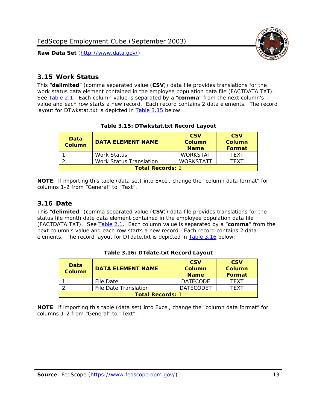

#### <span id="page-13-0"></span>*3.15 Work Status*

<span id="page-13-4"></span><span id="page-13-2"></span>This "**delimited**" (comma separated value (**CSV**)) data file provides translations for the work status data element contained in the employee population data file (FACTDATA.TXT). See [Table 2.1](#page-4-1). Each column value is separated by a "**comma**" from the next column's value and each row starts a new record. Each record contains 2 data elements. The record layout for DTwkstat.txt is depicted in [Table 3.15](#page-13-4) below:

| Data<br><b>Column</b>   | <b>DATA ELEMENT NAME</b> | <b>CSV</b><br>Column<br><b>Name</b> | <b>CSV</b><br>Column<br><b>Format</b> |
|-------------------------|--------------------------|-------------------------------------|---------------------------------------|
|                         | Work Status              | <b>WORKSTAT</b>                     | TFXT                                  |
|                         | Work Status Translation  | <b>WORKSTATT</b>                    | TFXT                                  |
| <b>Total Records: 2</b> |                          |                                     |                                       |

#### **Table 3.15: DTwkstat.txt Record Layout**

**NOTE**: If importing this table (data set) into Excel, change the "column data format" for columns 1-2 from "General" to "Text".

#### <span id="page-13-1"></span>*3.16 Date*

<span id="page-13-5"></span><span id="page-13-3"></span>This "**delimited**" (comma separated value (**CSV**)) data file provides translations for the status file month date data element contained in the employee population data file (FACTDATA.TXT). See [Table 2.1](#page-4-1). Each column value is separated by a "**comma**" from the next column's value and each row starts a new record. Each record contains 2 data elements. The record layout for DTdate.txt is depicted in [Table 3.16](#page-13-5) below:

| Data<br><b>Column</b>   | <b>DATA ELEMENT NAME</b> | <b>CSV</b><br>Column<br><b>Name</b> | <b>CSV</b><br>Column<br><b>Format</b> |
|-------------------------|--------------------------|-------------------------------------|---------------------------------------|
|                         | File Date                | <b>DATECODE</b>                     | TFXT                                  |
|                         | File Date Translation    | <b>DATECODET</b>                    | TFXT                                  |
| <b>Total Records: 1</b> |                          |                                     |                                       |

**Table 3.16: DTdate.txt Record Layout**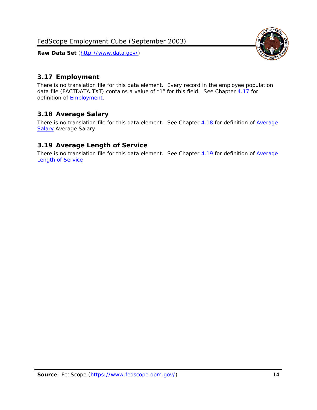

# <span id="page-14-0"></span>*3.17 Employment*

There is no translation file for this data element. Every record in the employee population data file (FACTDATA.TXT) contains a value of "1" for this field. See Chapter [4.17](#page-16-8) for definition of **Employment**.

### <span id="page-14-1"></span>*3.18 Average Salary*

There is no translation file for this data element. See Chapter [4.18](#page-17-1) for definition of [Average](#page-17-1) **[Salary](#page-17-1) [Average Salary.](#page-17-1)** 

#### <span id="page-14-2"></span>*3.19 Average Length of Service*

There is no translation file for this data element. See Chapter [4.19](#page-17-2) for definition of [Average](#page-17-2) Length of Service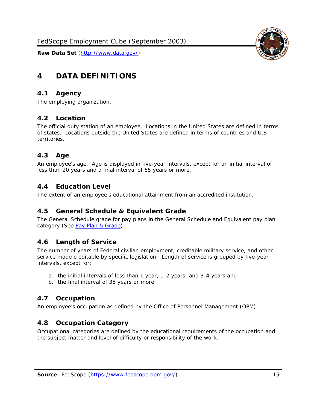

# <span id="page-15-0"></span>**4 DATA DEFINITIONS**

#### <span id="page-15-1"></span>*4.1 Agency*

The employing organization.

#### <span id="page-15-2"></span>*4.2 Location*

The official duty station of an employee. Locations in the United States are defined in terms of states. Locations outside the United States are defined in terms of countries and U.S. territories.

#### <span id="page-15-3"></span>*4.3 Age*

An employee's age. Age is displayed in five-year intervals, except for an initial interval of less than 20 years and a final interval of 65 years or more.

#### <span id="page-15-4"></span>*4.4 Education Level*

The extent of an employee's educational attainment from an accredited institution.

#### <span id="page-15-5"></span>*4.5 General Schedule & Equivalent Grade*

The General Schedule grade for pay plans in the General Schedule and Equivalent pay plan category (See [Pay Plan & Grade](#page-16-0)).

#### <span id="page-15-6"></span>*4.6 Length of Service*

The number of years of Federal civilian employment, creditable military service, and other service made creditable by specific legislation. Length of service is grouped by five-year intervals, except for:

- a. the initial intervals of less than 1 year, 1-2 years, and 3-4 years and
- b. the final interval of 35 years or more.

#### <span id="page-15-7"></span>*4.7 Occupation*

An employee's occupation as defined by the Office of Personnel Management (OPM).

#### <span id="page-15-8"></span>*4.8 Occupation Category*

Occupational categories are defined by the educational requirements of the occupation and the subject matter and level of difficulty or responsibility of the work.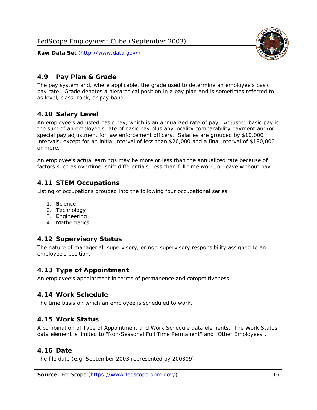

## <span id="page-16-0"></span>*4.9 Pay Plan & Grade*

The pay system and, where applicable, the grade used to determine an employee's basic pay rate. Grade denotes a hierarchical position in a pay plan and is sometimes referred to as level, class, rank, or pay band.

# <span id="page-16-1"></span>*4.10 Salary Level*

An employee's adjusted basic pay, which is an annualized rate of pay. Adjusted basic pay is the sum of an employee's rate of basic pay plus any locality comparability payment and/or special pay adjustment for law enforcement officers. Salaries are grouped by \$10,000 intervals, except for an initial interval of less than \$20,000 and a final interval of \$180,000 or more.

An employee's actual earnings may be more or less than the annualized rate because of factors such as overtime, shift differentials, less than full time work, or leave without pay.

### <span id="page-16-2"></span>*4.11 STEM Occupations*

Listing of occupations grouped into the following four occupational series:

- 1. **S**cience
- 2. **T**echnology
- 3. **E**ngineering
- 4. **M**athematics

#### <span id="page-16-3"></span>*4.12 Supervisory Status*

The nature of managerial, supervisory, or non-supervisory responsibility assigned to an employee's position.

#### <span id="page-16-4"></span>*4.13 Type of Appointment*

An employee's appointment in terms of permanence and competitiveness.

#### <span id="page-16-5"></span>*4.14 Work Schedule*

The time basis on which an employee is scheduled to work.

#### <span id="page-16-6"></span>*4.15 Work Status*

A combination of Type of Appointment and Work Schedule data elements. The Work Status data element is limited to "Non-Seasonal Full Time Permanent" and "Other Employees".

#### <span id="page-16-7"></span>*4.16 Date*

<span id="page-16-8"></span>The file date (e.g. September 2003 represented by 200309).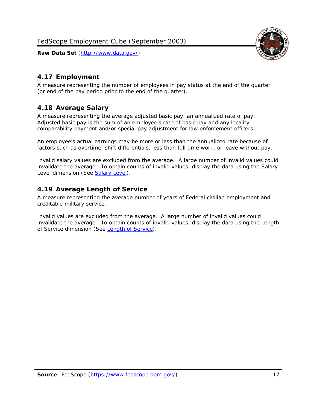

## <span id="page-17-0"></span>*4.17 Employment*

A measure representing the number of employees in pay status at the end of the quarter (or end of the pay period prior to the end of the quarter).

### <span id="page-17-1"></span>*4.18 Average Salary*

A measure representing the average adjusted basic pay, an annualized rate of pay. Adjusted basic pay is the sum of an employee's rate of basic pay and any locality comparability payment and/or special pay adjustment for law enforcement officers.

An employee's actual earnings may be more or less than the annualized rate because of factors such as overtime, shift differentials, less than full time work, or leave without pay.

Invalid salary values are excluded from the average. A large number of invalid values could invalidate the average. To obtain counts of invalid values, display the data using the Salary Level dimension (See [Salary Level\)](#page-16-1).

### <span id="page-17-2"></span>*4.19 Average Length of Service*

A measure representing the average number of years of Federal civilian employment and creditable military service.

Invalid values are excluded from the average. A large number of invalid values could invalidate the average. To obtain counts of invalid values, display the data using the Length of Service dimension (See [Length of Service](#page-15-6)).